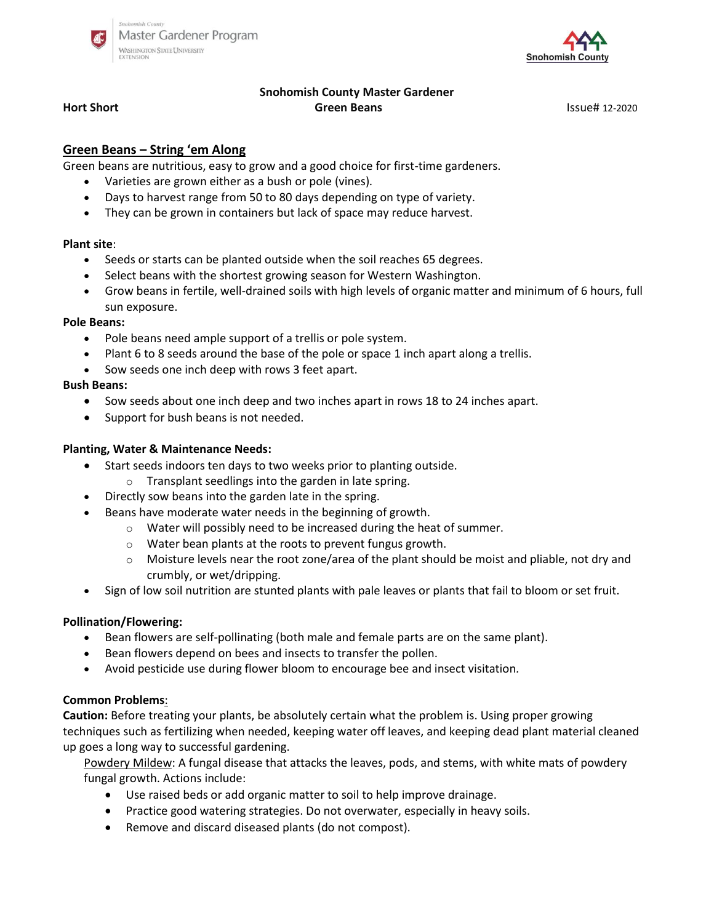



# **Snohomish County Master Gardener Hort Short Green Beans Green Beans Green Beans ISSUE EXECUTE:** ISSUE# 12-2020

## **Green Beans – String 'em Along**

Green beans are nutritious, easy to grow and a good choice for first-time gardeners.

- Varieties are grown either as a bush or pole (vines)*.*
- Days to harvest range from 50 to 80 days depending on type of variety.
- They can be grown in containers but lack of space may reduce harvest.

#### **Plant site**:

- Seeds or starts can be planted outside when the soil reaches 65 degrees.
- Select beans with the shortest growing season for Western Washington.
- Grow beans in fertile, well-drained soils with high levels of organic matter and minimum of 6 hours, full sun exposure.

#### **Pole Beans:**

- Pole beans need ample support of a trellis or pole system.
- Plant 6 to 8 seeds around the base of the pole or space 1 inch apart along a trellis.
- Sow seeds one inch deep with rows 3 feet apart.

## **Bush Beans:**

- Sow seeds about one inch deep and two inches apart in rows 18 to 24 inches apart.
- Support for bush beans is not needed.

## **Planting, Water & Maintenance Needs:**

- Start seeds indoors ten days to two weeks prior to planting outside.
	- o Transplant seedlings into the garden in late spring.
- Directly sow beans into the garden late in the spring.
- Beans have moderate water needs in the beginning of growth.
	- o Water will possibly need to be increased during the heat of summer.
	- o Water bean plants at the roots to prevent fungus growth.
	- $\circ$  Moisture levels near the root zone/area of the plant should be moist and pliable, not dry and crumbly, or wet/dripping.
- Sign of low soil nutrition are stunted plants with pale leaves or plants that fail to bloom or set fruit.

## **Pollination/Flowering:**

- Bean flowers are self-pollinating (both male and female parts are on the same plant).
- Bean flowers depend on bees and insects to transfer the pollen.
- Avoid pesticide use during flower bloom to encourage bee and insect visitation*.*

#### **Common Problems**:

**Caution:** Before treating your plants, be absolutely certain what the problem is. Using proper growing techniques such as fertilizing when needed, keeping water off leaves, and keeping dead plant material cleaned up goes a long way to successful gardening.

Powdery Mildew: A fungal disease that attacks the leaves, pods, and stems, with white mats of powdery fungal growth. Actions include:

- Use raised beds or add organic matter to soil to help improve drainage.
- Practice good watering strategies. Do not overwater, especially in heavy soils.
- Remove and discard diseased plants (do not compost).